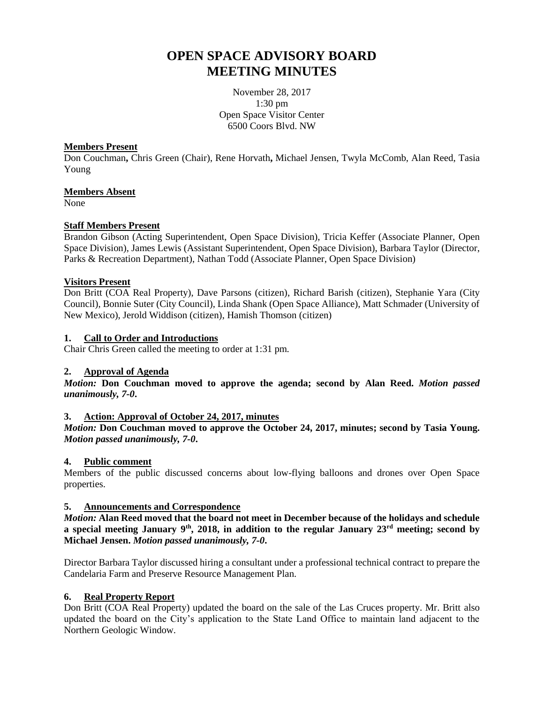# **OPEN SPACE ADVISORY BOARD MEETING MINUTES**

November 28, 2017 1:30 pm Open Space Visitor Center 6500 Coors Blvd. NW

#### **Members Present**

Don Couchman**,** Chris Green (Chair), Rene Horvath**,** Michael Jensen, Twyla McComb, Alan Reed, Tasia Young

#### **Members Absent**

None

## **Staff Members Present**

Brandon Gibson (Acting Superintendent, Open Space Division), Tricia Keffer (Associate Planner, Open Space Division), James Lewis (Assistant Superintendent, Open Space Division), Barbara Taylor (Director, Parks & Recreation Department), Nathan Todd (Associate Planner, Open Space Division)

# **Visitors Present**

Don Britt (COA Real Property), Dave Parsons (citizen), Richard Barish (citizen), Stephanie Yara (City Council), Bonnie Suter (City Council), Linda Shank (Open Space Alliance), Matt Schmader (University of New Mexico), Jerold Widdison (citizen), Hamish Thomson (citizen)

#### **1. Call to Order and Introductions**

Chair Chris Green called the meeting to order at 1:31 pm.

#### **2. Approval of Agenda**

*Motion:* **Don Couchman moved to approve the agenda; second by Alan Reed.** *Motion passed unanimously, 7-0***.**

#### **3. Action: Approval of October 24, 2017, minutes**

*Motion:* **Don Couchman moved to approve the October 24, 2017, minutes; second by Tasia Young.**  *Motion passed unanimously, 7-0***.**

#### **4. Public comment**

Members of the public discussed concerns about low-flying balloons and drones over Open Space properties.

#### **5. Announcements and Correspondence**

*Motion:* **Alan Reed moved that the board not meet in December because of the holidays and schedule a special meeting January 9th, 2018, in addition to the regular January 23rd meeting; second by Michael Jensen.** *Motion passed unanimously, 7-0***.**

Director Barbara Taylor discussed hiring a consultant under a professional technical contract to prepare the Candelaria Farm and Preserve Resource Management Plan.

#### **6. Real Property Report**

Don Britt (COA Real Property) updated the board on the sale of the Las Cruces property. Mr. Britt also updated the board on the City's application to the State Land Office to maintain land adjacent to the Northern Geologic Window.